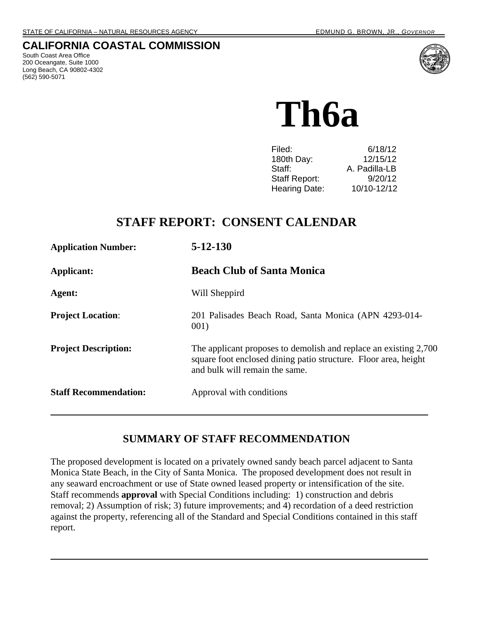### **CALIFORNIA COASTAL COMMISSION**

South Coast Area Office 200 Oceangate, Suite 1000 Long Beach, CA 90802-4302 (562) 590-5071



**Th6a** 

| 6/18/12       |
|---------------|
| 12/15/12      |
| A. Padilla-LB |
| 9/20/12       |
| 10/10-12/12   |
|               |

# **STAFF REPORT: CONSENT CALENDAR**

| <b>Application Number:</b>   | $5 - 12 - 130$                                                                                                                                                        |
|------------------------------|-----------------------------------------------------------------------------------------------------------------------------------------------------------------------|
| Applicant:                   | <b>Beach Club of Santa Monica</b>                                                                                                                                     |
| Agent:                       | Will Sheppird                                                                                                                                                         |
| <b>Project Location:</b>     | 201 Palisades Beach Road, Santa Monica (APN 4293-014-<br>001)                                                                                                         |
| <b>Project Description:</b>  | The applicant proposes to demolish and replace an existing 2,700<br>square foot enclosed dining patio structure. Floor area, height<br>and bulk will remain the same. |
| <b>Staff Recommendation:</b> | Approval with conditions                                                                                                                                              |

# **SUMMARY OF STAFF RECOMMENDATION**

The proposed development is located on a privately owned sandy beach parcel adjacent to Santa Monica State Beach, in the City of Santa Monica. The proposed development does not result in any seaward encroachment or use of State owned leased property or intensification of the site. Staff recommends **approval** with Special Conditions including: 1) construction and debris removal; 2) Assumption of risk; 3) future improvements; and 4) recordation of a deed restriction against the property, referencing all of the Standard and Special Conditions contained in this staff report.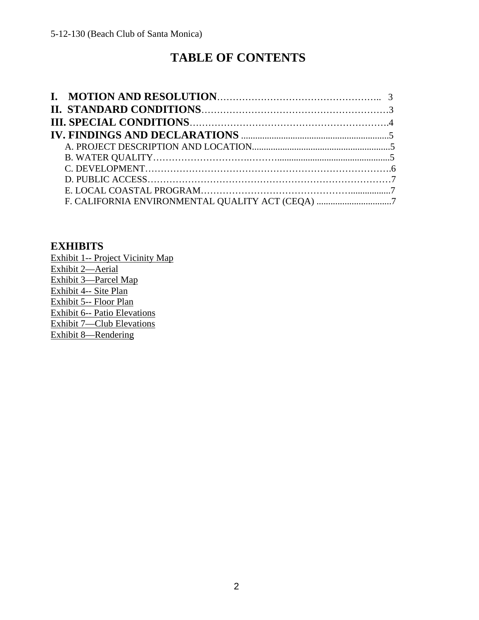# **TABLE OF CONTENTS**

| F. CALIFORNIA ENVIRONMENTAL QUALITY ACT (CEQA) 7 |  |
|--------------------------------------------------|--|

### **EXHIBITS**

Exhibit 1-- Project Vicinity Map Exhibit 2—Aerial Exhibit 3—Parcel Map Exhibit 4-- Site Plan Exhibit 5-- Floor Plan Exhibit 6-- Patio Elevations Exhibit 7—Club Elevations Exhibit 8—Rendering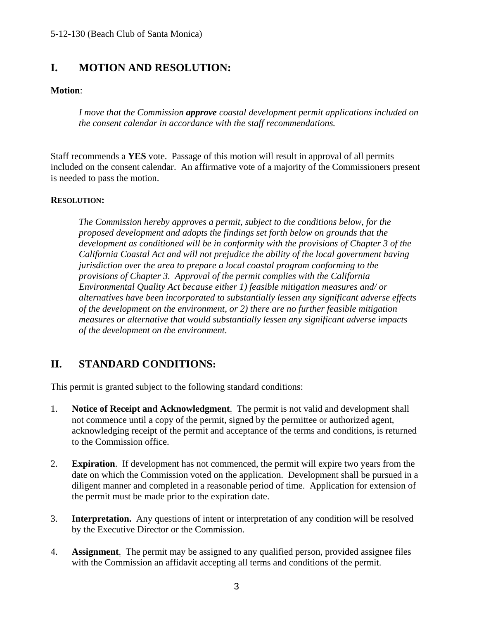# **I. MOTION AND RESOLUTION:**

#### **Motion**:

 *I move that the Commission approve coastal development permit applications included on the consent calendar in accordance with the staff recommendations.* 

Staff recommends a **YES** vote. Passage of this motion will result in approval of all permits included on the consent calendar. An affirmative vote of a majority of the Commissioners present is needed to pass the motion.

#### **RESOLUTION:**

*The Commission hereby approves a permit, subject to the conditions below, for the proposed development and adopts the findings set forth below on grounds that the development as conditioned will be in conformity with the provisions of Chapter 3 of the California Coastal Act and will not prejudice the ability of the local government having jurisdiction over the area to prepare a local coastal program conforming to the provisions of Chapter 3. Approval of the permit complies with the California Environmental Quality Act because either 1) feasible mitigation measures and/ or alternatives have been incorporated to substantially lessen any significant adverse effects of the development on the environment, or 2) there are no further feasible mitigation measures or alternative that would substantially lessen any significant adverse impacts of the development on the environment*.

# **II. STANDARD CONDITIONS:**

This permit is granted subject to the following standard conditions:

- 1. **Notice of Receipt and Acknowledgment**. The permit is not valid and development shall not commence until a copy of the permit, signed by the permittee or authorized agent, acknowledging receipt of the permit and acceptance of the terms and conditions, is returned to the Commission office.
- 2. **Expiration**. If development has not commenced, the permit will expire two years from the date on which the Commission voted on the application. Development shall be pursued in a diligent manner and completed in a reasonable period of time. Application for extension of the permit must be made prior to the expiration date.
- 3. **Interpretation.** Any questions of intent or interpretation of any condition will be resolved by the Executive Director or the Commission.
- 4. **Assignment**. The permit may be assigned to any qualified person, provided assignee files with the Commission an affidavit accepting all terms and conditions of the permit.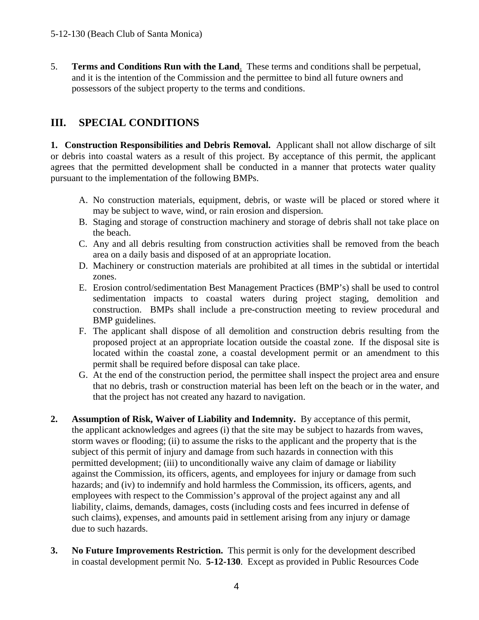5. **Terms and Conditions Run with the Land**. These terms and conditions shall be perpetual, and it is the intention of the Commission and the permittee to bind all future owners and possessors of the subject property to the terms and conditions.

# **III. SPECIAL CONDITIONS**

**1. Construction Responsibilities and Debris Removal.** Applicant shall not allow discharge of silt or debris into coastal waters as a result of this project. By acceptance of this permit, the applicant agrees that the permitted development shall be conducted in a manner that protects water quality pursuant to the implementation of the following BMPs.

- A. No construction materials, equipment, debris, or waste will be placed or stored where it may be subject to wave, wind, or rain erosion and dispersion.
- B. Staging and storage of construction machinery and storage of debris shall not take place on the beach.
- C. Any and all debris resulting from construction activities shall be removed from the beach area on a daily basis and disposed of at an appropriate location.
- D. Machinery or construction materials are prohibited at all times in the subtidal or intertidal zones.
- E. Erosion control/sedimentation Best Management Practices (BMP's) shall be used to control sedimentation impacts to coastal waters during project staging, demolition and construction. BMPs shall include a pre-construction meeting to review procedural and BMP guidelines.
- F. The applicant shall dispose of all demolition and construction debris resulting from the proposed project at an appropriate location outside the coastal zone. If the disposal site is located within the coastal zone, a coastal development permit or an amendment to this permit shall be required before disposal can take place.
- G. At the end of the construction period, the permittee shall inspect the project area and ensure that no debris, trash or construction material has been left on the beach or in the water, and that the project has not created any hazard to navigation.
- **2. Assumption of Risk, Waiver of Liability and Indemnity.** By acceptance of this permit, the applicant acknowledges and agrees (i) that the site may be subject to hazards from waves, storm waves or flooding; (ii) to assume the risks to the applicant and the property that is the subject of this permit of injury and damage from such hazards in connection with this permitted development; (iii) to unconditionally waive any claim of damage or liability against the Commission, its officers, agents, and employees for injury or damage from such hazards; and (iv) to indemnify and hold harmless the Commission, its officers, agents, and employees with respect to the Commission's approval of the project against any and all liability, claims, demands, damages, costs (including costs and fees incurred in defense of such claims), expenses, and amounts paid in settlement arising from any injury or damage due to such hazards.
- **3. No Future Improvements Restriction.** This permit is only for the development described in coastal development permit No. **5-12-130**. Except as provided in Public Resources Code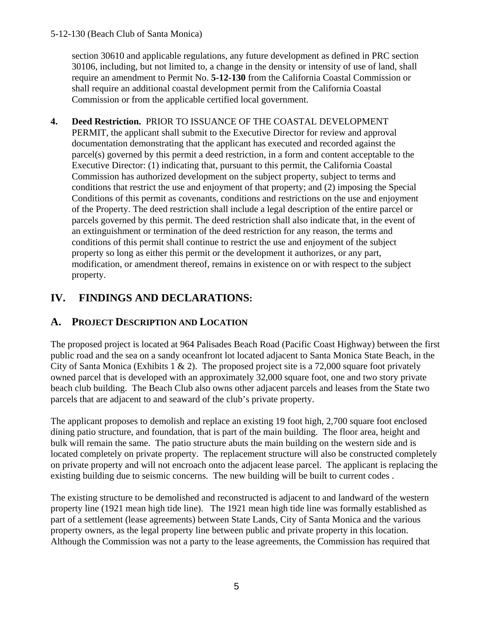#### 5-12-130 (Beach Club of Santa Monica)

section 30610 and applicable regulations, any future development as defined in PRC section 30106, including, but not limited to, a change in the density or intensity of use of land, shall require an amendment to Permit No. **5-12-130** from the California Coastal Commission or shall require an additional coastal development permit from the California Coastal Commission or from the applicable certified local government.

**4. Deed Restriction.** PRIOR TO ISSUANCE OF THE COASTAL DEVELOPMENT PERMIT, the applicant shall submit to the Executive Director for review and approval documentation demonstrating that the applicant has executed and recorded against the parcel(s) governed by this permit a deed restriction, in a form and content acceptable to the Executive Director: (1) indicating that, pursuant to this permit, the California Coastal Commission has authorized development on the subject property, subject to terms and conditions that restrict the use and enjoyment of that property; and (2) imposing the Special Conditions of this permit as covenants, conditions and restrictions on the use and enjoyment of the Property. The deed restriction shall include a legal description of the entire parcel or parcels governed by this permit. The deed restriction shall also indicate that, in the event of an extinguishment or termination of the deed restriction for any reason, the terms and conditions of this permit shall continue to restrict the use and enjoyment of the subject property so long as either this permit or the development it authorizes, or any part, modification, or amendment thereof, remains in existence on or with respect to the subject property.

# **IV. FINDINGS AND DECLARATIONS:**

### **A. PROJECT DESCRIPTION AND LOCATION**

The proposed project is located at 964 Palisades Beach Road (Pacific Coast Highway) between the first public road and the sea on a sandy oceanfront lot located adjacent to Santa Monica State Beach, in the City of Santa Monica (Exhibits 1  $\&$  2). The proposed project site is a 72,000 square foot privately owned parcel that is developed with an approximately 32,000 square foot, one and two story private beach club building. The Beach Club also owns other adjacent parcels and leases from the State two parcels that are adjacent to and seaward of the club's private property.

The applicant proposes to demolish and replace an existing 19 foot high, 2,700 square foot enclosed dining patio structure, and foundation, that is part of the main building. The floor area, height and bulk will remain the same. The patio structure abuts the main building on the western side and is located completely on private property. The replacement structure will also be constructed completely on private property and will not encroach onto the adjacent lease parcel. The applicant is replacing the existing building due to seismic concerns. The new building will be built to current codes .

The existing structure to be demolished and reconstructed is adjacent to and landward of the western property line (1921 mean high tide line). The 1921 mean high tide line was formally established as part of a settlement (lease agreements) between State Lands, City of Santa Monica and the various property owners, as the legal property line between public and private property in this location. Although the Commission was not a party to the lease agreements, the Commission has required that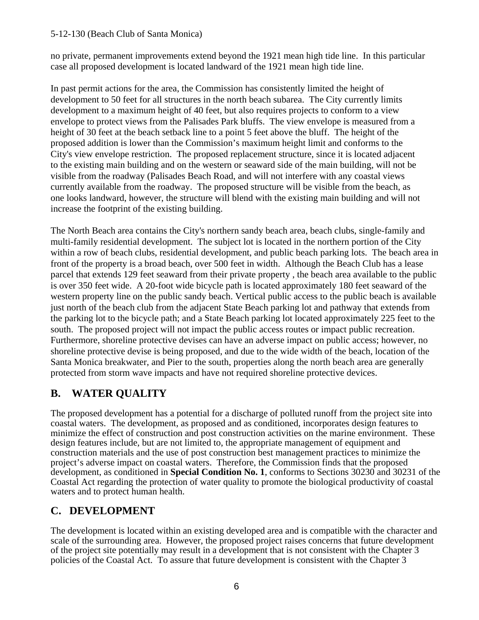#### 5-12-130 (Beach Club of Santa Monica)

no private, permanent improvements extend beyond the 1921 mean high tide line. In this particular case all proposed development is located landward of the 1921 mean high tide line.

In past permit actions for the area, the Commission has consistently limited the height of development to 50 feet for all structures in the north beach subarea. The City currently limits development to a maximum height of 40 feet, but also requires projects to conform to a view envelope to protect views from the Palisades Park bluffs. The view envelope is measured from a height of 30 feet at the beach setback line to a point 5 feet above the bluff. The height of the proposed addition is lower than the Commission's maximum height limit and conforms to the City's view envelope restriction. The proposed replacement structure, since it is located adjacent to the existing main building and on the western or seaward side of the main building, will not be visible from the roadway (Palisades Beach Road, and will not interfere with any coastal views currently available from the roadway. The proposed structure will be visible from the beach, as one looks landward, however, the structure will blend with the existing main building and will not increase the footprint of the existing building.

The North Beach area contains the City's northern sandy beach area, beach clubs, single-family and multi-family residential development. The subject lot is located in the northern portion of the City within a row of beach clubs, residential development, and public beach parking lots. The beach area in front of the property is a broad beach, over 500 feet in width. Although the Beach Club has a lease parcel that extends 129 feet seaward from their private property , the beach area available to the public is over 350 feet wide. A 20-foot wide bicycle path is located approximately 180 feet seaward of the western property line on the public sandy beach. Vertical public access to the public beach is available just north of the beach club from the adjacent State Beach parking lot and pathway that extends from the parking lot to the bicycle path; and a State Beach parking lot located approximately 225 feet to the south. The proposed project will not impact the public access routes or impact public recreation. Furthermore, shoreline protective devises can have an adverse impact on public access; however, no shoreline protective devise is being proposed, and due to the wide width of the beach, location of the Santa Monica breakwater, and Pier to the south, properties along the north beach area are generally protected from storm wave impacts and have not required shoreline protective devices.

# **B. WATER QUALITY**

The proposed development has a potential for a discharge of polluted runoff from the project site into coastal waters. The development, as proposed and as conditioned, incorporates design features to minimize the effect of construction and post construction activities on the marine environment. These design features include, but are not limited to, the appropriate management of equipment and construction materials and the use of post construction best management practices to minimize the project's adverse impact on coastal waters. Therefore, the Commission finds that the proposed development, as conditioned in **Special Condition No. 1**, conforms to Sections 30230 and 30231 of the Coastal Act regarding the protection of water quality to promote the biological productivity of coastal waters and to protect human health.

# **C. DEVELOPMENT**

The development is located within an existing developed area and is compatible with the character and scale of the surrounding area. However, the proposed project raises concerns that future development of the project site potentially may result in a development that is not consistent with the Chapter 3 policies of the Coastal Act. To assure that future development is consistent with the Chapter 3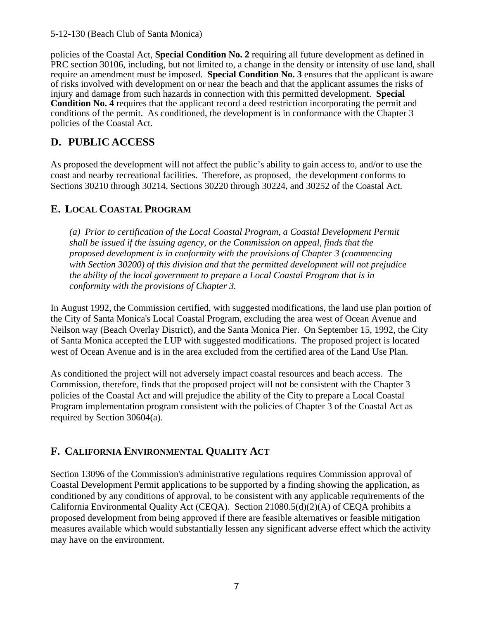policies of the Coastal Act, **Special Condition No. 2** requiring all future development as defined in PRC section 30106, including, but not limited to, a change in the density or intensity of use land, shall require an amendment must be imposed. **Special Condition No. 3** ensures that the applicant is aware of risks involved with development on or near the beach and that the applicant assumes the risks of injury and damage from such hazards in connection with this permitted development. **Special Condition No. 4** requires that the applicant record a deed restriction incorporating the permit and conditions of the permit. As conditioned, the development is in conformance with the Chapter 3 policies of the Coastal Act.

# **D. PUBLIC ACCESS**

As proposed the development will not affect the public's ability to gain access to, and/or to use the coast and nearby recreational facilities. Therefore, as proposed, the development conforms to Sections 30210 through 30214, Sections 30220 through 30224, and 30252 of the Coastal Act.

### **E. LOCAL COASTAL PROGRAM**

*(a) Prior to certification of the Local Coastal Program, a Coastal Development Permit shall be issued if the issuing agency, or the Commission on appeal, finds that the proposed development is in conformity with the provisions of Chapter 3 (commencing with Section 30200) of this division and that the permitted development will not prejudice the ability of the local government to prepare a Local Coastal Program that is in conformity with the provisions of Chapter 3.* 

In August 1992, the Commission certified, with suggested modifications, the land use plan portion of the City of Santa Monica's Local Coastal Program, excluding the area west of Ocean Avenue and Neilson way (Beach Overlay District), and the Santa Monica Pier. On September 15, 1992, the City of Santa Monica accepted the LUP with suggested modifications. The proposed project is located west of Ocean Avenue and is in the area excluded from the certified area of the Land Use Plan.

As conditioned the project will not adversely impact coastal resources and beach access. The Commission, therefore, finds that the proposed project will not be consistent with the Chapter 3 policies of the Coastal Act and will prejudice the ability of the City to prepare a Local Coastal Program implementation program consistent with the policies of Chapter 3 of the Coastal Act as required by Section 30604(a).

# **F. CALIFORNIA ENVIRONMENTAL QUALITY ACT**

Section 13096 of the Commission's administrative regulations requires Commission approval of Coastal Development Permit applications to be supported by a finding showing the application, as conditioned by any conditions of approval, to be consistent with any applicable requirements of the California Environmental Quality Act (CEQA). Section 21080.5(d)(2)(A) of CEQA prohibits a proposed development from being approved if there are feasible alternatives or feasible mitigation measures available which would substantially lessen any significant adverse effect which the activity may have on the environment.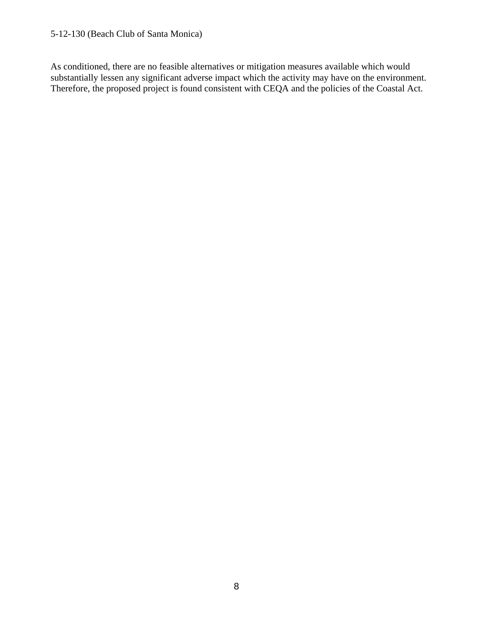#### 5-12-130 (Beach Club of Santa Monica)

As conditioned, there are no feasible alternatives or mitigation measures available which would substantially lessen any significant adverse impact which the activity may have on the environment. Therefore, the proposed project is found consistent with CEQA and the policies of the Coastal Act.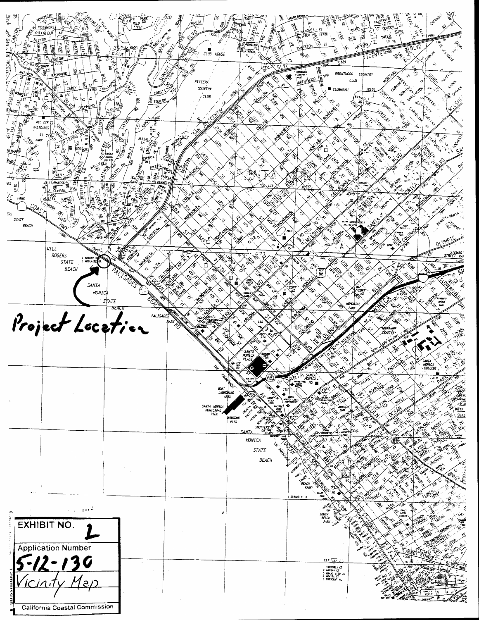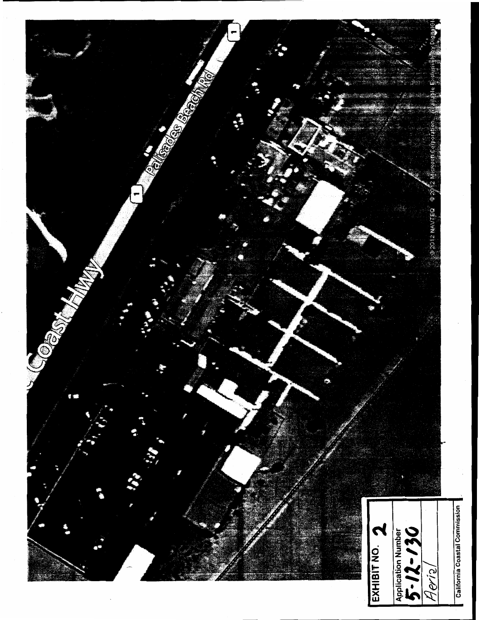

California Coastal Commission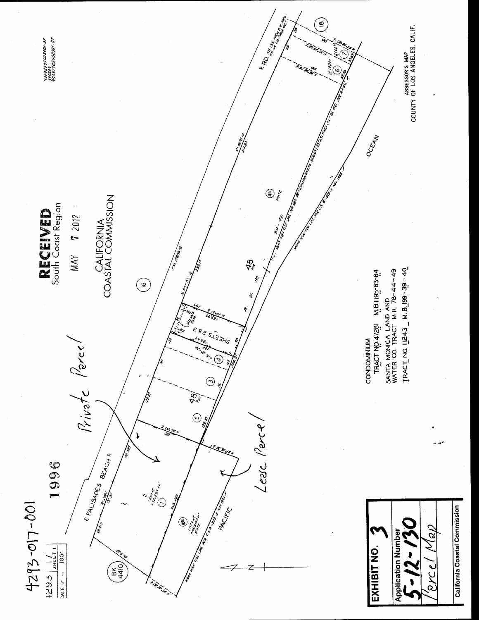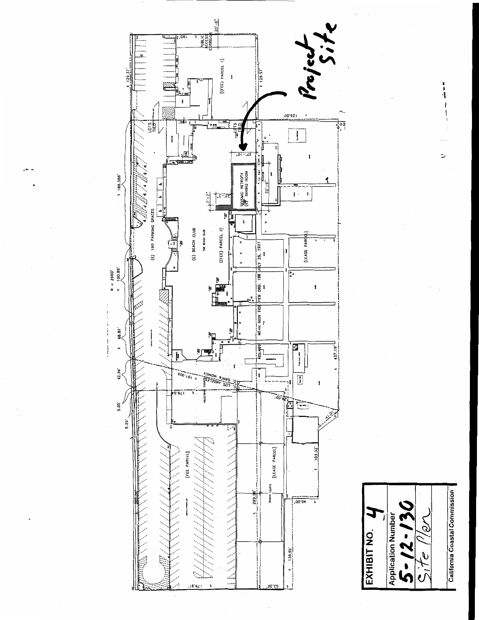



 $\begin{array}{c} \n\mathbf{r} \\
\mathbf{r} \\
\mathbf{r} \\
\mathbf{r} \\
\mathbf{r} \\
\mathbf{r} \\
\mathbf{r} \\
\mathbf{r} \\
\mathbf{r} \\
\mathbf{r} \\
\mathbf{r} \\
\mathbf{r} \\
\mathbf{r} \\
\mathbf{r} \\
\mathbf{r} \\
\mathbf{r} \\
\mathbf{r} \\
\mathbf{r} \\
\mathbf{r} \\
\mathbf{r} \\
\mathbf{r} \\
\mathbf{r} \\
\mathbf{r} \\
\mathbf{r} \\
\mathbf{r} \\
\mathbf{r} \\
\mathbf{r} \\
\mathbf{r} \\
\mathbf{r} \\
\mathbf{r} \\
\$ 

ت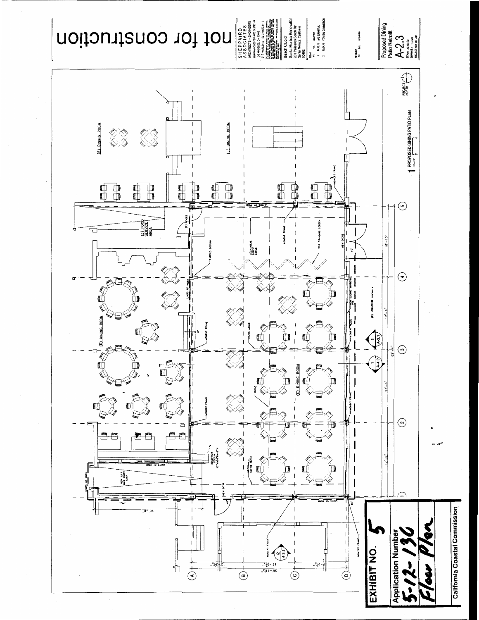

F,

NEW 1:12

╬┑

 $\overline{\bigodot}$ 

 $-25$ 

 $\overrightarrow{G}$ 



 $17 - 5$ 

⊂

Application Numb

EXHIBIT NO.

 $\overline{\oplus}$ 

 $\left( \begin{smallmatrix} \infty & 7 \ 8 & 1 \ 1 & 1 \ 1 & 1 \end{smallmatrix} \right)$ 

 $\overline{\odot}$ 

 $5 - 25$ 

 $\frac{15, -2\frac{3}{2}\sqrt[3]{6}}{20, -11\sqrt[3]{6}}$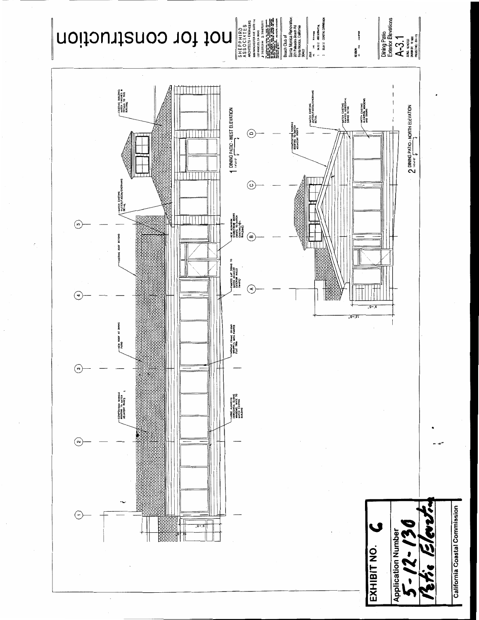



Diving Patio<br>Extender Elevations<br> $\mathsf{A}\text{-}3.1$ <br>sau & aveid<br>sau & aveid<br>massive. Bossin

REVISION<br>No. Mul. Sucernal

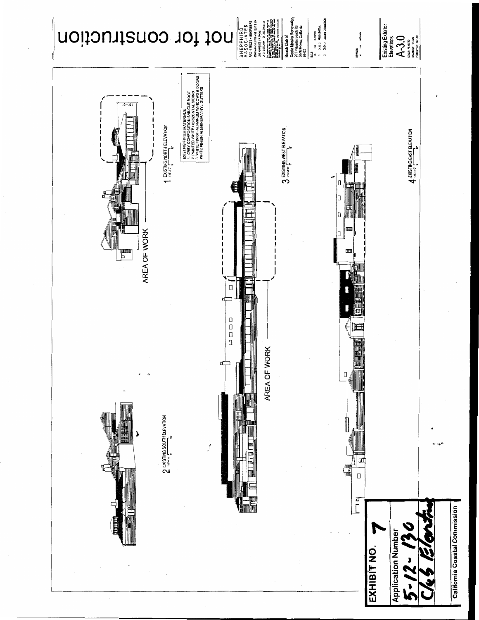

California Coastal Commission